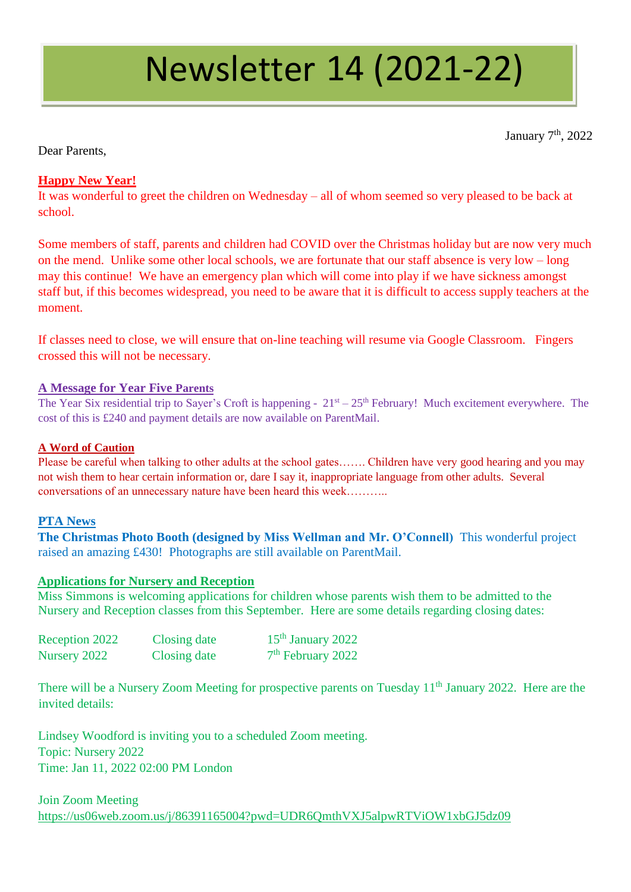# Newsletter 14 (2021-22)

January 7<sup>th</sup>, 2022

Dear Parents,

# **Happy New Year!**

It was wonderful to greet the children on Wednesday – all of whom seemed so very pleased to be back at school.

Some members of staff, parents and children had COVID over the Christmas holiday but are now very much on the mend. Unlike some other local schools, we are fortunate that our staff absence is very low – long may this continue! We have an emergency plan which will come into play if we have sickness amongst staff but, if this becomes widespread, you need to be aware that it is difficult to access supply teachers at the moment.

If classes need to close, we will ensure that on-line teaching will resume via Google Classroom. Fingers crossed this will not be necessary.

## **A Message for Year Five Parents**

The Year Six residential trip to Sayer's Croft is happening -  $21<sup>st</sup> - 25<sup>th</sup>$  February! Much excitement everywhere. The cost of this is £240 and payment details are now available on ParentMail.

#### **A Word of Caution**

Please be careful when talking to other adults at the school gates……. Children have very good hearing and you may not wish them to hear certain information or, dare I say it, inappropriate language from other adults. Several conversations of an unnecessary nature have been heard this week………..

#### **PTA News**

**The Christmas Photo Booth (designed by Miss Wellman and Mr. O'Connell)** This wonderful project raised an amazing £430! Photographs are still available on ParentMail.

#### **Applications for Nursery and Reception**

Miss Simmons is welcoming applications for children whose parents wish them to be admitted to the Nursery and Reception classes from this September. Here are some details regarding closing dates:

| Reception 2022 | Closing date | $15th$ January 2022 |
|----------------|--------------|---------------------|
| Nursery 2022   | Closing date | $7th$ February 2022 |

There will be a Nursery Zoom Meeting for prospective parents on Tuesday 11<sup>th</sup> January 2022. Here are the invited details:

Lindsey Woodford is inviting you to a scheduled Zoom meeting. Topic: Nursery 2022 Time: Jan 11, 2022 02:00 PM London

Join Zoom Meeting <https://us06web.zoom.us/j/86391165004?pwd=UDR6QmthVXJ5alpwRTViOW1xbGJ5dz09>